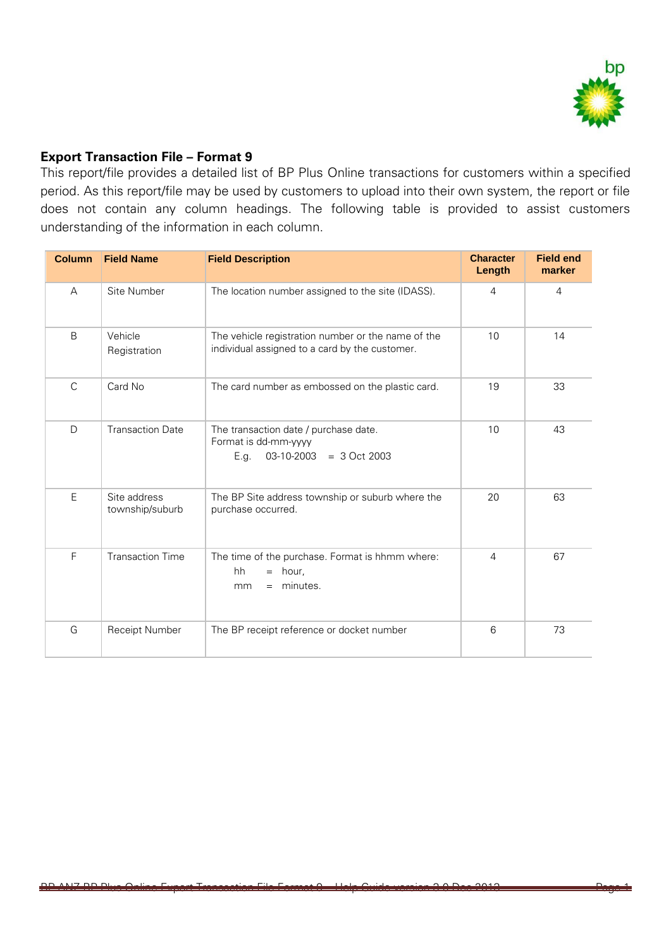

## **Export Transaction File – Format 9**

This report/file provides a detailed list of BP Plus Online transactions for customers within a specified period. As this report/file may be used by customers to upload into their own system, the report or file does not contain any column headings. The following table is provided to assist customers understanding of the information in each column.

| <b>Column</b> | <b>Field Name</b>               | <b>Field Description</b>                                                                             | <b>Character</b><br>Length | <b>Field end</b><br>marker |
|---------------|---------------------------------|------------------------------------------------------------------------------------------------------|----------------------------|----------------------------|
| A             | Site Number                     | The location number assigned to the site (IDASS).                                                    | $\overline{4}$             | $\overline{4}$             |
| B             | Vehicle<br>Registration         | The vehicle registration number or the name of the<br>individual assigned to a card by the customer. | 10                         | 14                         |
| C             | Card No                         | The card number as embossed on the plastic card.                                                     | 19                         | 33                         |
| D             | <b>Transaction Date</b>         | The transaction date / purchase date.<br>Format is dd-mm-yyyy<br>$03-10-2003 = 3 Oct 2003$<br>E.g.   | 10                         | 43                         |
| E             | Site address<br>township/suburb | The BP Site address township or suburb where the<br>purchase occurred.                               | 20                         | 63                         |
| F             | <b>Transaction Time</b>         | The time of the purchase. Format is hhmm where:<br>hh<br>hour,<br>$=$<br>minutes.<br>mm<br>$=$       | 4                          | 67                         |
| G             | Receipt Number                  | The BP receipt reference or docket number                                                            | 6                          | 73                         |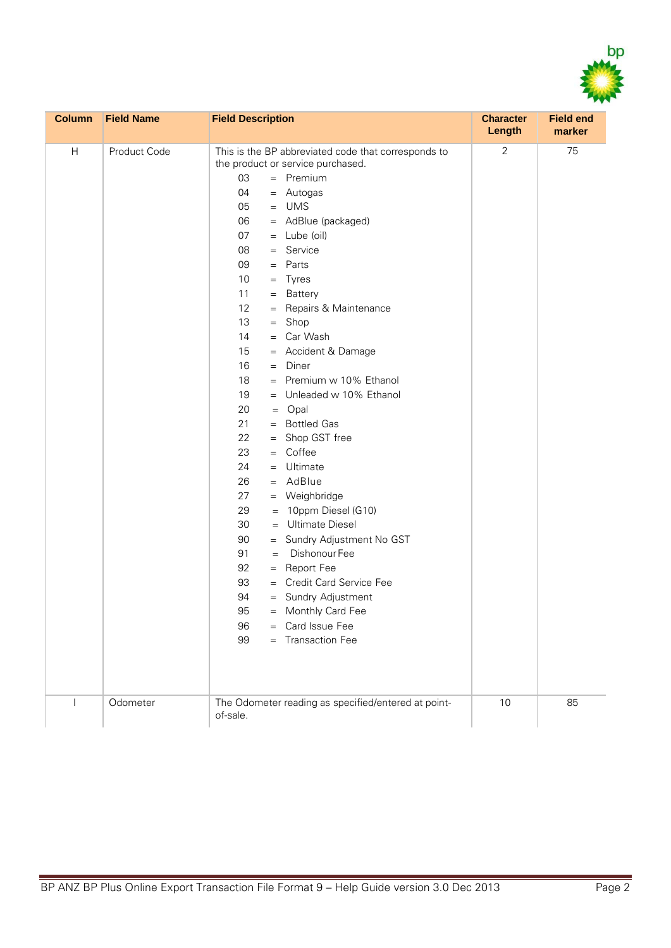

| <b>Column</b> | <b>Field Name</b> | <b>Field Description</b>                                                                                                                                                                                                                                                                                                                                                                                                                                                                                                                                                                                                                                                                                                                                                                                                                                                                                                                   | <b>Character</b><br>Length | <b>Field end</b><br>marker |
|---------------|-------------------|--------------------------------------------------------------------------------------------------------------------------------------------------------------------------------------------------------------------------------------------------------------------------------------------------------------------------------------------------------------------------------------------------------------------------------------------------------------------------------------------------------------------------------------------------------------------------------------------------------------------------------------------------------------------------------------------------------------------------------------------------------------------------------------------------------------------------------------------------------------------------------------------------------------------------------------------|----------------------------|----------------------------|
| Н             | Product Code      | This is the BP abbreviated code that corresponds to<br>the product or service purchased.<br>03<br>$=$ Premium<br>04<br>= Autogas<br>$=$ UMS<br>05<br>06<br>= AdBlue (packaged)<br>07<br>$=$ Lube (oil)<br>08<br>$=$ Service<br>09<br>$=$ Parts<br>10<br>$=$ Tyres<br>11<br>= Battery<br>12<br>= Repairs & Maintenance<br>13<br>$=$ Shop<br>= Car Wash<br>14<br>= Accident & Damage<br>15<br>16<br>$=$ Diner<br>= Premium w 10% Ethanol<br>18<br>19<br>= Unleaded w 10% Ethanol<br>20<br>$=$ Opal<br>= Bottled Gas<br>21<br>22<br>= Shop GST free<br>23<br>$=$ Coffee<br>24<br>$=$ Ultimate<br>$=$ AdBlue<br>26<br>27<br>= Weighbridge<br>29<br>$= 10$ ppm Diesel (G10)<br>30<br>= Ultimate Diesel<br>90<br>= Sundry Adjustment No GST<br>91<br>Dishonour Fee<br>$=$<br>92<br>= Report Fee<br>= Credit Card Service Fee<br>93<br>94<br>= Sundry Adjustment<br>95<br>= Monthly Card Fee<br>96<br>= Card Issue Fee<br>99<br>= Transaction Fee | $\sqrt{2}$                 | 75                         |
|               | Odometer          | The Odometer reading as specified/entered at point-<br>of-sale.                                                                                                                                                                                                                                                                                                                                                                                                                                                                                                                                                                                                                                                                                                                                                                                                                                                                            | $10$                       | 85                         |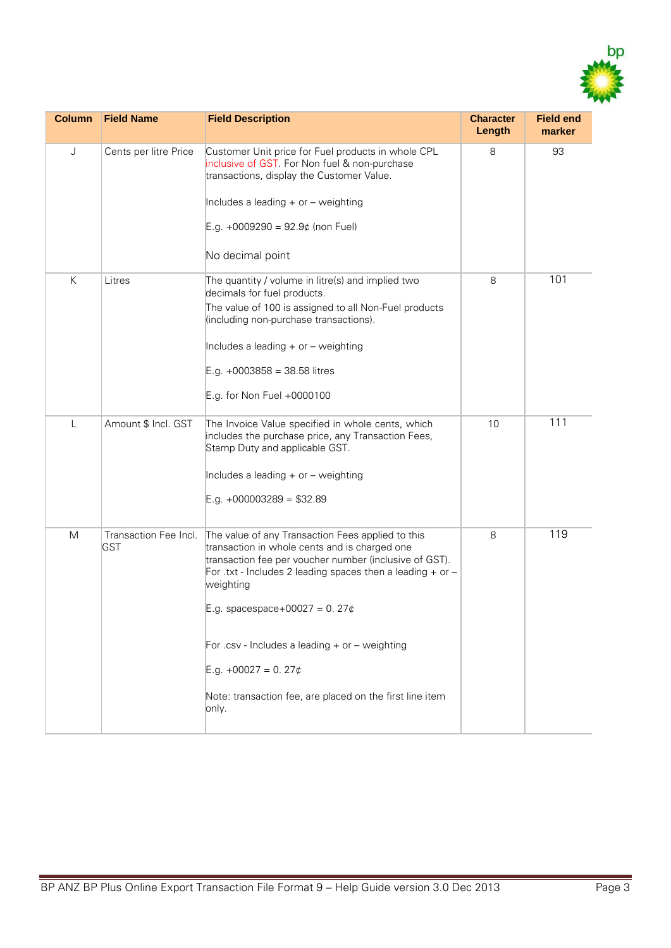

| <b>Column</b> | <b>Field Name</b>                   | <b>Field Description</b>                                                                                                                                                                                                                                                                                                                                                                                                           | <b>Character</b><br>Length | <b>Field end</b><br>marker |
|---------------|-------------------------------------|------------------------------------------------------------------------------------------------------------------------------------------------------------------------------------------------------------------------------------------------------------------------------------------------------------------------------------------------------------------------------------------------------------------------------------|----------------------------|----------------------------|
| J             | Cents per litre Price               | Customer Unit price for Fuel products in whole CPL<br>inclusive of GST. For Non fuel & non-purchase<br>transactions, display the Customer Value.<br>Includes a leading + or - weighting<br>E.g. +0009290 = 92.9¢ (non Fuel)<br>No decimal point                                                                                                                                                                                    | 8                          | 93                         |
| K             | Litres                              | The quantity / volume in litre(s) and implied two<br>decimals for fuel products.<br>The value of 100 is assigned to all Non-Fuel products<br>(including non-purchase transactions).<br>Includes a leading + or - weighting<br>$E.g. +0003858 = 38.58$ litres<br>E.g. for Non Fuel +0000100                                                                                                                                         | 8                          | 101                        |
| $\mathsf{L}$  | Amount \$ Incl. GST                 | The Invoice Value specified in whole cents, which<br>includes the purchase price, any Transaction Fees,<br>Stamp Duty and applicable GST.<br>Includes a leading + or - weighting<br>$E.g. +000003289 = $32.89$                                                                                                                                                                                                                     | 10                         | 111                        |
| M             | Transaction Fee Incl.<br><b>GST</b> | The value of any Transaction Fees applied to this<br>transaction in whole cents and is charged one<br>transaction fee per voucher number (inclusive of GST).<br>For .txt - Includes 2 leading spaces then a leading $+$ or $-$<br>weighting<br>E.g. spacespace+00027 = 0. 27¢<br>For .csv - Includes a leading $+$ or $-$ weighting<br>E.g. $+00027 = 0.27$ ¢<br>Note: transaction fee, are placed on the first line item<br>only. | 8                          | 119                        |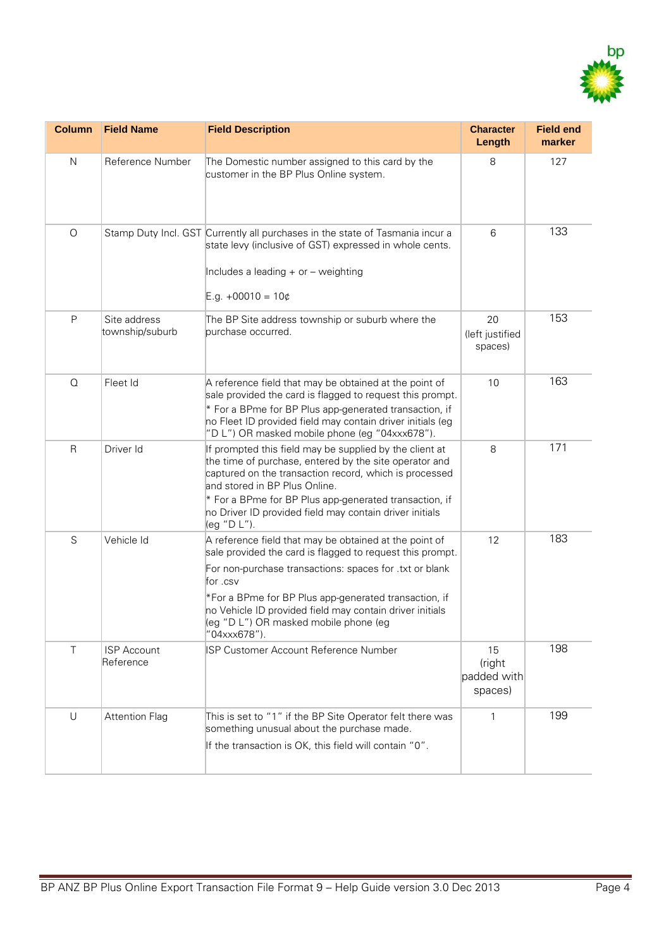

| <b>Column</b> | <b>Field Name</b>               | <b>Field Description</b>                                                                                                                                                                                                                                                                                                                                                 | <b>Character</b><br>Length             | <b>Field end</b><br>marker |
|---------------|---------------------------------|--------------------------------------------------------------------------------------------------------------------------------------------------------------------------------------------------------------------------------------------------------------------------------------------------------------------------------------------------------------------------|----------------------------------------|----------------------------|
| N             | Reference Number                | The Domestic number assigned to this card by the<br>customer in the BP Plus Online system.                                                                                                                                                                                                                                                                               | 8                                      | 127                        |
| $\bigcirc$    |                                 | Stamp Duty Incl. GST Currently all purchases in the state of Tasmania incur a<br>state levy (inclusive of GST) expressed in whole cents.<br>Includes a leading + or - weighting<br>E.g. $+00010 = 10¢$                                                                                                                                                                   | 6                                      | 133                        |
| $\mathsf{P}$  | Site address<br>township/suburb | The BP Site address township or suburb where the<br>purchase occurred.                                                                                                                                                                                                                                                                                                   | 20<br>(left justified<br>spaces)       | 153                        |
| $\Omega$      | Fleet Id                        | A reference field that may be obtained at the point of<br>sale provided the card is flagged to request this prompt.<br>* For a BPme for BP Plus app-generated transaction, if<br>no Fleet ID provided field may contain driver initials (eg<br>"D L") OR masked mobile phone (eg "04xxx678").                                                                            | 10                                     | 163                        |
| $\mathsf{R}$  | Driver Id                       | If prompted this field may be supplied by the client at<br>the time of purchase, entered by the site operator and<br>captured on the transaction record, which is processed<br>and stored in BP Plus Online.<br>* For a BPme for BP Plus app-generated transaction, if<br>no Driver ID provided field may contain driver initials<br>(eg "D L").                         | 8                                      | 171                        |
| S             | Vehicle Id                      | A reference field that may be obtained at the point of<br>sale provided the card is flagged to request this prompt.<br>For non-purchase transactions: spaces for .txt or blank<br>for .csv<br>*For a BPme for BP Plus app-generated transaction, if<br>no Vehicle ID provided field may contain driver initials<br>(eg "D L") OR masked mobile phone (eg<br>"04xxx678"). | 12                                     | 183                        |
| $\top$        | <b>ISP Account</b><br>Reference | ISP Customer Account Reference Number                                                                                                                                                                                                                                                                                                                                    | 15<br>(right<br>padded with<br>spaces) | 198                        |
| U             | <b>Attention Flag</b>           | This is set to "1" if the BP Site Operator felt there was<br>something unusual about the purchase made.<br>If the transaction is OK, this field will contain "0".                                                                                                                                                                                                        | 1                                      | 199                        |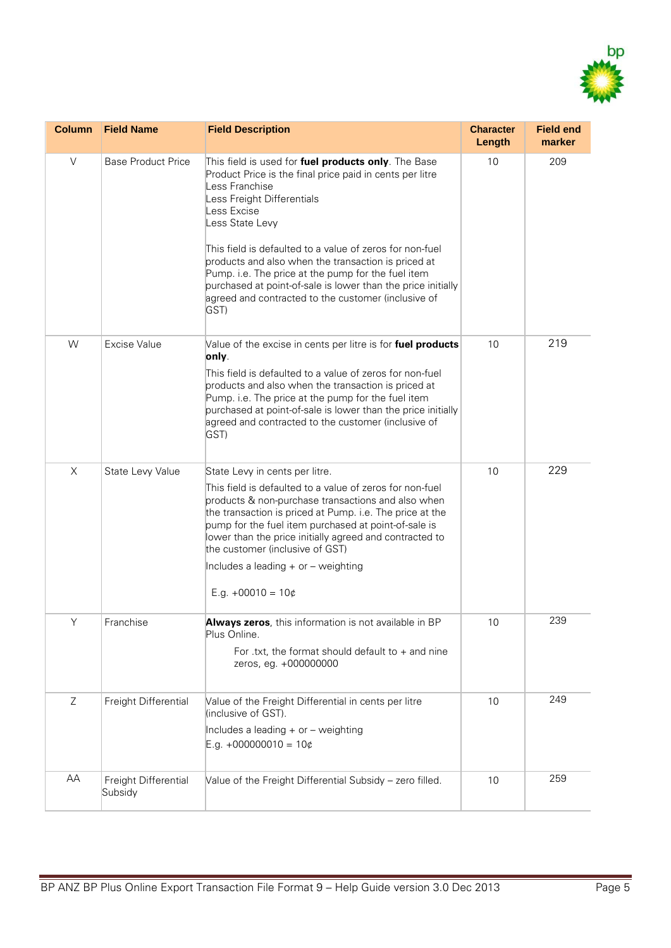

| <b>Column</b> | <b>Field Name</b>               | <b>Field Description</b>                                                                                                                                                                                                                                                                                                                                                                                                                                                                                  | <b>Character</b><br>Length | <b>Field end</b><br>marker |
|---------------|---------------------------------|-----------------------------------------------------------------------------------------------------------------------------------------------------------------------------------------------------------------------------------------------------------------------------------------------------------------------------------------------------------------------------------------------------------------------------------------------------------------------------------------------------------|----------------------------|----------------------------|
| V             | <b>Base Product Price</b>       | This field is used for fuel products only. The Base<br>Product Price is the final price paid in cents per litre<br>Less Franchise<br>Less Freight Differentials<br>Less Excise<br>Less State Levy<br>This field is defaulted to a value of zeros for non-fuel<br>products and also when the transaction is priced at<br>Pump. i.e. The price at the pump for the fuel item<br>purchased at point-of-sale is lower than the price initially<br>agreed and contracted to the customer (inclusive of<br>GST) | 10                         | 209                        |
| W             | <b>Excise Value</b>             | Value of the excise in cents per litre is for fuel products<br>only.<br>This field is defaulted to a value of zeros for non-fuel<br>products and also when the transaction is priced at<br>Pump. i.e. The price at the pump for the fuel item<br>purchased at point-of-sale is lower than the price initially<br>agreed and contracted to the customer (inclusive of<br>GST)                                                                                                                              | 10                         | 219                        |
| X             | State Levy Value                | State Levy in cents per litre.<br>This field is defaulted to a value of zeros for non-fuel<br>products & non-purchase transactions and also when<br>the transaction is priced at Pump. i.e. The price at the<br>pump for the fuel item purchased at point-of-sale is<br>lower than the price initially agreed and contracted to<br>the customer (inclusive of GST)<br>Includes a leading $+$ or $-$ weighting<br>E.g. $+00010 = 10¢$                                                                      | 10                         | 229                        |
| Y             | Franchise                       | Always zeros, this information is not available in BP<br>Plus Online.<br>For .txt, the format should default to $+$ and nine<br>zeros, eg. +000000000                                                                                                                                                                                                                                                                                                                                                     | 10                         | 239                        |
| Ζ             | Freight Differential            | Value of the Freight Differential in cents per litre<br>(inclusive of GST).<br>Includes a leading + or - weighting<br>$E.g. +000000010 = 10¢$                                                                                                                                                                                                                                                                                                                                                             | 10                         | 249                        |
| AA            | Freight Differential<br>Subsidy | Value of the Freight Differential Subsidy - zero filled.                                                                                                                                                                                                                                                                                                                                                                                                                                                  | 10                         | 259                        |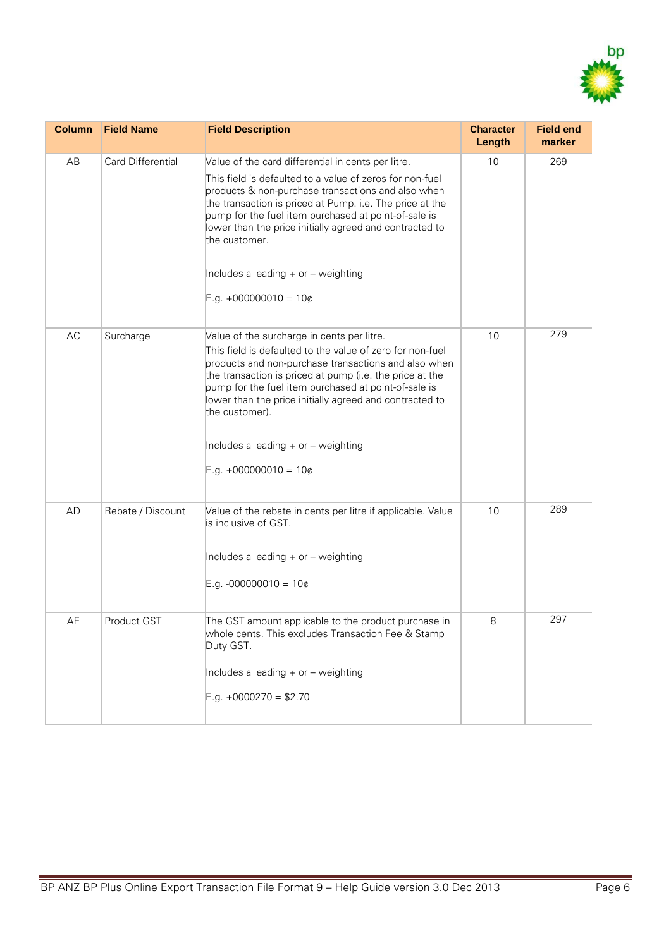

| <b>Column</b> | <b>Field Name</b>        | <b>Field Description</b>                                                                                                                                                                                                                                                                                                                                                                                                               | <b>Character</b><br>Length | <b>Field end</b><br>marker |
|---------------|--------------------------|----------------------------------------------------------------------------------------------------------------------------------------------------------------------------------------------------------------------------------------------------------------------------------------------------------------------------------------------------------------------------------------------------------------------------------------|----------------------------|----------------------------|
| AB            | <b>Card Differential</b> | Value of the card differential in cents per litre.<br>This field is defaulted to a value of zeros for non-fuel<br>products & non-purchase transactions and also when<br>the transaction is priced at Pump. i.e. The price at the<br>pump for the fuel item purchased at point-of-sale is<br>lower than the price initially agreed and contracted to<br>the customer.<br>Includes a leading + or - weighting<br>$E.g. +000000010 = 10¢$ | 10                         | 269                        |
| AC            | Surcharge                | Value of the surcharge in cents per litre.<br>This field is defaulted to the value of zero for non-fuel<br>products and non-purchase transactions and also when<br>the transaction is priced at pump (i.e. the price at the<br>pump for the fuel item purchased at point-of-sale is<br>lower than the price initially agreed and contracted to<br>the customer).<br>Includes a leading + or - weighting<br>E.g. $+000000010 = 10¢$     | 10                         | 279                        |
| <b>AD</b>     | Rebate / Discount        | Value of the rebate in cents per litre if applicable. Value<br>is inclusive of GST.<br>Includes a leading + or - weighting<br>E.g. -000000010 = $10¢$                                                                                                                                                                                                                                                                                  | 10                         | 289                        |
| AE            | Product GST              | The GST amount applicable to the product purchase in<br>whole cents. This excludes Transaction Fee & Stamp<br>Duty GST.<br>Includes a leading + or - weighting<br>E.g. $+0000270 = $2.70$                                                                                                                                                                                                                                              | 8                          | 297                        |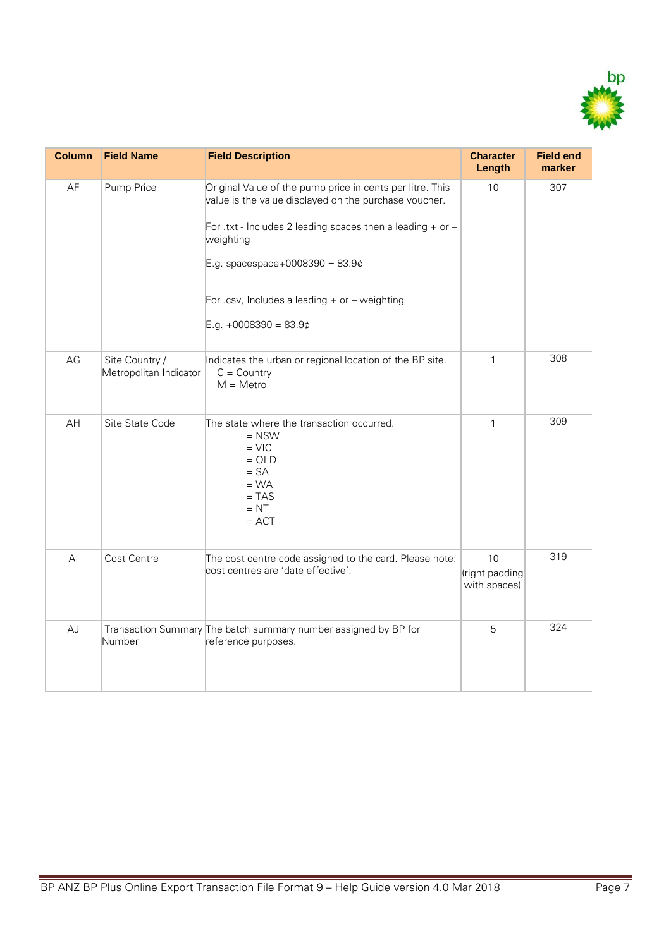

| <b>Column</b> | <b>Field Name</b>                        | <b>Field Description</b>                                                                                                                                                                                                                                                                                              | <b>Character</b><br>Length           | <b>Field end</b><br>marker |
|---------------|------------------------------------------|-----------------------------------------------------------------------------------------------------------------------------------------------------------------------------------------------------------------------------------------------------------------------------------------------------------------------|--------------------------------------|----------------------------|
| AF            | Pump Price                               | Original Value of the pump price in cents per litre. This<br>value is the value displayed on the purchase voucher.<br>For .txt - Includes 2 leading spaces then a leading $+$ or $-$<br>weighting<br>E.g. spacespace+0008390 = $83.9¢$<br>For .csv, Includes a leading $+$ or $-$ weighting<br>E.g. $+0008390 = 83.9$ | 10                                   | 307                        |
| AG            | Site Country /<br>Metropolitan Indicator | Indicates the urban or regional location of the BP site.<br>$C = Country$<br>$M = Metro$                                                                                                                                                                                                                              | $\mathbf{1}$                         | 308                        |
| AH            | Site State Code                          | The state where the transaction occurred.<br>$=$ NSW<br>$=$ VIC<br>$= QLD$<br>$= SA$<br>$= WA$<br>$= TAS$<br>$= NT$<br>$=$ ACT                                                                                                                                                                                        | $\mathbf{1}$                         | 309                        |
| AI            | Cost Centre                              | The cost centre code assigned to the card. Please note:<br>cost centres are 'date effective'.                                                                                                                                                                                                                         | 10<br>(right padding<br>with spaces) | 319                        |
| AJ            | Number                                   | Transaction Summary The batch summary number assigned by BP for<br>reference purposes.                                                                                                                                                                                                                                | 5                                    | 324                        |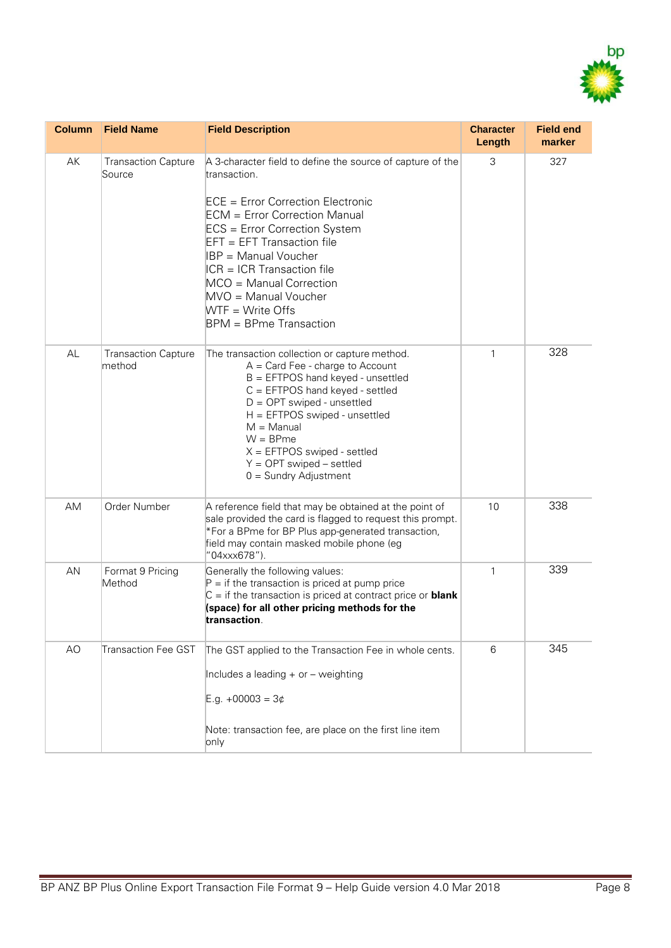

| <b>Column</b> | <b>Field Name</b>                    | <b>Field Description</b>                                                                                                                                                                                                                                                                                                                                                                 | <b>Character</b><br>Length | <b>Field end</b><br>marker |
|---------------|--------------------------------------|------------------------------------------------------------------------------------------------------------------------------------------------------------------------------------------------------------------------------------------------------------------------------------------------------------------------------------------------------------------------------------------|----------------------------|----------------------------|
| AK            | <b>Transaction Capture</b><br>Source | A 3-character field to define the source of capture of the<br>transaction.<br>ECE = Error Correction Electronic<br><b>ECM</b> = Error Correction Manual<br>ECS = Error Correction System<br>EFT = EFT Transaction file<br>IBP = Manual Voucher<br>$ICR = ICR$ Transaction file<br>MCO = Manual Correction<br>MVO = Manual Voucher<br>$WTF = Write Offs$<br><b>BPM</b> = BPme Transaction | 3                          | 327                        |
| AL            | <b>Transaction Capture</b><br>method | The transaction collection or capture method.<br>$A = Card$ Fee - charge to Account<br>$B = EFTPOS$ hand keyed - unsettled<br>$C = EFTPOS$ hand keyed - settled<br>$D = OPT$ swiped - unsettled<br>H = EFTPOS swiped - unsettled<br>$M =$ Manual<br>$W = B Pme$<br>$X = EFTPOS$ swiped - settled<br>$Y = OPT$ swiped – settled<br>$0 =$ Sundry Adjustment                                | $\mathbf{1}$               | 328                        |
| AM            | Order Number                         | A reference field that may be obtained at the point of<br>sale provided the card is flagged to request this prompt.<br>*For a BPme for BP Plus app-generated transaction,<br>field may contain masked mobile phone (eg<br>"04xxx678").                                                                                                                                                   | 10                         | 338                        |
| AN            | Format 9 Pricing<br>Method           | Generally the following values:<br>$P =$ if the transaction is priced at pump price<br>$C =$ if the transaction is priced at contract price or <b>blank</b><br>(space) for all other pricing methods for the<br>transaction.                                                                                                                                                             | $\mathbf{1}$               | 339                        |
| AO            | <b>Transaction Fee GST</b>           | The GST applied to the Transaction Fee in whole cents.<br>Includes a leading + or - weighting<br>E.g. +00003 = $3¢$<br>Note: transaction fee, are place on the first line item<br>only                                                                                                                                                                                                   | 6                          | 345                        |